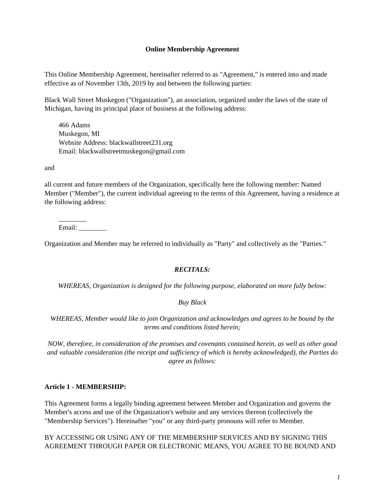#### **Online Membership Agreement**

This Online Membership Agreement, hereinafter referred to as "Agreement," is entered into and made effective as of November 13th, 2019 by and between the following parties:

Black Wall Street Muskegon ("Organization"), an association, organized under the laws of the state of Michigan, having its principal place of business at the following address:

466 Adams Muskegon, MI Website Address: blackwallstreet231.org Email: blackwallstreetmuskegon@gmail.com

and

all current and future members of the Organization, specifically here the following member: Named Member ("Member"), the current individual agreeing to the terms of this Agreement, having a residence at the following address:

\_\_\_\_\_\_\_\_ Email: \_\_\_\_\_\_\_\_

Organization and Member may be referred to individually as "Party" and collectively as the "Parties."

#### *RECITALS:*

*WHEREAS, Organization is designed for the following purpose, elaborated on more fully below:*

#### *Buy Black*

*WHEREAS, Member would like to join Organization and acknowledges and agrees to be bound by the terms and conditions listed herein;*

*NOW, therefore, in consideration of the promises and covenants contained herein, as well as other good and valuable consideration (the receipt and sufficiency of which is hereby acknowledged), the Parties do agree as follows:*

#### **Article 1 - MEMBERSHIP:**

This Agreement forms a legally binding agreement between Member and Organization and governs the Member's access and use of the Organization's website and any services thereon (collectively the "Membership Services"). Hereinafter "you" or any third-party pronouns will refer to Member.

BY ACCESSING OR USING ANY OF THE MEMBERSHIP SERVICES AND BY SIGNING THIS AGREEMENT THROUGH PAPER OR ELECTRONIC MEANS, YOU AGREE TO BE BOUND AND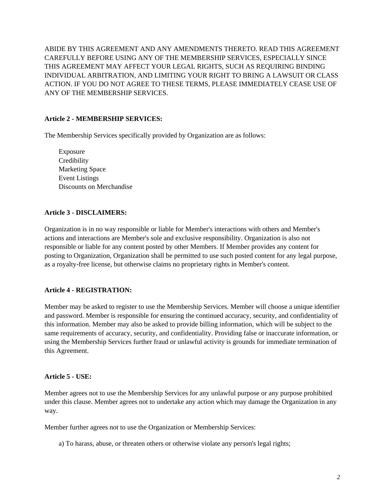ABIDE BY THIS AGREEMENT AND ANY AMENDMENTS THERETO. READ THIS AGREEMENT CAREFULLY BEFORE USING ANY OF THE MEMBERSHIP SERVICES, ESPECIALLY SINCE THIS AGREEMENT MAY AFFECT YOUR LEGAL RIGHTS, SUCH AS REQUIRING BINDING INDIVIDUAL ARBITRATION, AND LIMITING YOUR RIGHT TO BRING A LAWSUIT OR CLASS ACTION. IF YOU DO NOT AGREE TO THESE TERMS, PLEASE IMMEDIATELY CEASE USE OF ANY OF THE MEMBERSHIP SERVICES.

# **Article 2 - MEMBERSHIP SERVICES:**

The Membership Services specifically provided by Organization are as follows:

Exposure **Credibility** Marketing Space Event Listings Discounts on Merchandise

# **Article 3 - DISCLAIMERS:**

Organization is in no way responsible or liable for Member's interactions with others and Member's actions and interactions are Member's sole and exclusive responsibility. Organization is also not responsible or liable for any content posted by other Members. If Member provides any content for posting to Organization, Organization shall be permitted to use such posted content for any legal purpose, as a royalty-free license, but otherwise claims no proprietary rights in Member's content.

# **Article 4 - REGISTRATION:**

Member may be asked to register to use the Membership Services. Member will choose a unique identifier and password. Member is responsible for ensuring the continued accuracy, security, and confidentiality of this information. Member may also be asked to provide billing information, which will be subject to the same requirements of accuracy, security, and confidentiality. Providing false or inaccurate information, or using the Membership Services further fraud or unlawful activity is grounds for immediate termination of this Agreement.

#### **Article 5 - USE:**

Member agrees not to use the Membership Services for any unlawful purpose or any purpose prohibited under this clause. Member agrees not to undertake any action which may damage the Organization in any way.

Member further agrees not to use the Organization or Membership Services:

a) To harass, abuse, or threaten others or otherwise violate any person's legal rights;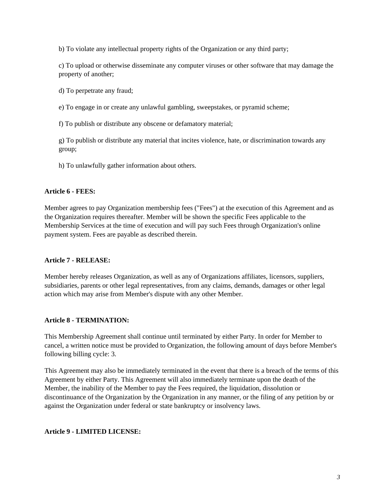b) To violate any intellectual property rights of the Organization or any third party;

c) To upload or otherwise disseminate any computer viruses or other software that may damage the property of another;

d) To perpetrate any fraud;

e) To engage in or create any unlawful gambling, sweepstakes, or pyramid scheme;

f) To publish or distribute any obscene or defamatory material;

g) To publish or distribute any material that incites violence, hate, or discrimination towards any group;

h) To unlawfully gather information about others.

# **Article 6 - FEES:**

Member agrees to pay Organization membership fees ("Fees") at the execution of this Agreement and as the Organization requires thereafter. Member will be shown the specific Fees applicable to the Membership Services at the time of execution and will pay such Fees through Organization's online payment system. Fees are payable as described therein.

# **Article 7 - RELEASE:**

Member hereby releases Organization, as well as any of Organizations affiliates, licensors, suppliers, subsidiaries, parents or other legal representatives, from any claims, demands, damages or other legal action which may arise from Member's dispute with any other Member.

# **Article 8 - TERMINATION:**

This Membership Agreement shall continue until terminated by either Party. In order for Member to cancel, a written notice must be provided to Organization, the following amount of days before Member's following billing cycle: 3.

This Agreement may also be immediately terminated in the event that there is a breach of the terms of this Agreement by either Party. This Agreement will also immediately terminate upon the death of the Member, the inability of the Member to pay the Fees required, the liquidation, dissolution or discontinuance of the Organization by the Organization in any manner, or the filing of any petition by or against the Organization under federal or state bankruptcy or insolvency laws.

# **Article 9 - LIMITED LICENSE:**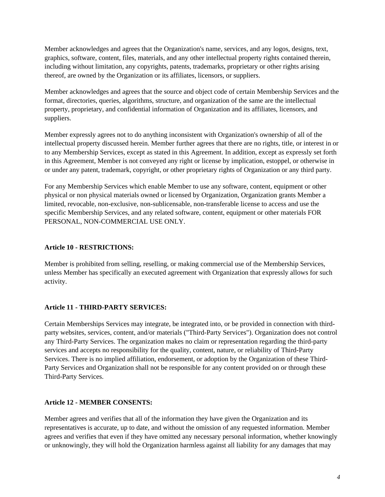Member acknowledges and agrees that the Organization's name, services, and any logos, designs, text, graphics, software, content, files, materials, and any other intellectual property rights contained therein, including without limitation, any copyrights, patents, trademarks, proprietary or other rights arising thereof, are owned by the Organization or its affiliates, licensors, or suppliers.

Member acknowledges and agrees that the source and object code of certain Membership Services and the format, directories, queries, algorithms, structure, and organization of the same are the intellectual property, proprietary, and confidential information of Organization and its affiliates, licensors, and suppliers.

Member expressly agrees not to do anything inconsistent with Organization's ownership of all of the intellectual property discussed herein. Member further agrees that there are no rights, title, or interest in or to any Membership Services, except as stated in this Agreement. In addition, except as expressly set forth in this Agreement, Member is not conveyed any right or license by implication, estoppel, or otherwise in or under any patent, trademark, copyright, or other proprietary rights of Organization or any third party.

For any Membership Services which enable Member to use any software, content, equipment or other physical or non physical materials owned or licensed by Organization, Organization grants Member a limited, revocable, non-exclusive, non-sublicensable, non-transferable license to access and use the specific Membership Services, and any related software, content, equipment or other materials FOR PERSONAL, NON-COMMERCIAL USE ONLY.

# **Article 10 - RESTRICTIONS:**

Member is prohibited from selling, reselling, or making commercial use of the Membership Services, unless Member has specifically an executed agreement with Organization that expressly allows for such activity.

# **Article 11 - THIRD-PARTY SERVICES:**

Certain Memberships Services may integrate, be integrated into, or be provided in connection with thirdparty websites, services, content, and/or materials ("Third-Party Services"). Organization does not control any Third-Party Services. The organization makes no claim or representation regarding the third-party services and accepts no responsibility for the quality, content, nature, or reliability of Third-Party Services. There is no implied affiliation, endorsement, or adoption by the Organization of these Third-Party Services and Organization shall not be responsible for any content provided on or through these Third-Party Services.

# **Article 12 - MEMBER CONSENTS:**

Member agrees and verifies that all of the information they have given the Organization and its representatives is accurate, up to date, and without the omission of any requested information. Member agrees and verifies that even if they have omitted any necessary personal information, whether knowingly or unknowingly, they will hold the Organization harmless against all liability for any damages that may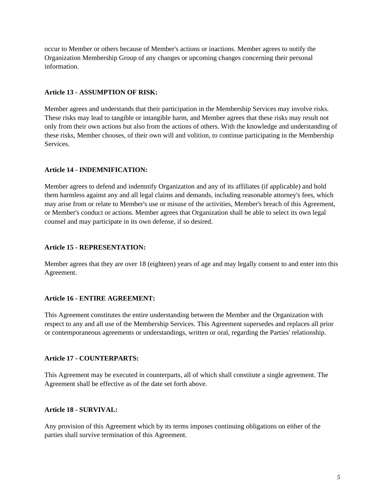occur to Member or others because of Member's actions or inactions. Member agrees to notify the Organization Membership Group of any changes or upcoming changes concerning their personal information.

#### **Article 13 - ASSUMPTION OF RISK:**

Member agrees and understands that their participation in the Membership Services may involve risks. These risks may lead to tangible or intangible harm, and Member agrees that these risks may result not only from their own actions but also from the actions of others. With the knowledge and understanding of these risks, Member chooses, of their own will and volition, to continue participating in the Membership Services.

### **Article 14 - INDEMNIFICATION:**

Member agrees to defend and indemnify Organization and any of its affiliates (if applicable) and hold them harmless against any and all legal claims and demands, including reasonable attorney's fees, which may arise from or relate to Member's use or misuse of the activities, Member's breach of this Agreement, or Member's conduct or actions. Member agrees that Organization shall be able to select its own legal counsel and may participate in its own defense, if so desired.

### **Article 15 - REPRESENTATION:**

Member agrees that they are over 18 (eighteen) years of age and may legally consent to and enter into this Agreement.

# **Article 16 - ENTIRE AGREEMENT:**

This Agreement constitutes the entire understanding between the Member and the Organization with respect to any and all use of the Membership Services. This Agreement supersedes and replaces all prior or contemporaneous agreements or understandings, written or oral, regarding the Parties' relationship.

# **Article 17 - COUNTERPARTS:**

This Agreement may be executed in counterparts, all of which shall constitute a single agreement. The Agreement shall be effective as of the date set forth above.

#### **Article 18 - SURVIVAL:**

Any provision of this Agreement which by its terms imposes continuing obligations on either of the parties shall survive termination of this Agreement.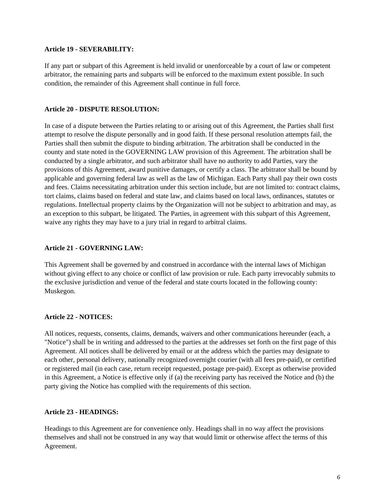#### **Article 19 - SEVERABILITY:**

If any part or subpart of this Agreement is held invalid or unenforceable by a court of law or competent arbitrator, the remaining parts and subparts will be enforced to the maximum extent possible. In such condition, the remainder of this Agreement shall continue in full force.

#### **Article 20 - DISPUTE RESOLUTION:**

In case of a dispute between the Parties relating to or arising out of this Agreement, the Parties shall first attempt to resolve the dispute personally and in good faith. If these personal resolution attempts fail, the Parties shall then submit the dispute to binding arbitration. The arbitration shall be conducted in the county and state noted in the GOVERNING LAW provision of this Agreement. The arbitration shall be conducted by a single arbitrator, and such arbitrator shall have no authority to add Parties, vary the provisions of this Agreement, award punitive damages, or certify a class. The arbitrator shall be bound by applicable and governing federal law as well as the law of Michigan. Each Party shall pay their own costs and fees. Claims necessitating arbitration under this section include, but are not limited to: contract claims, tort claims, claims based on federal and state law, and claims based on local laws, ordinances, statutes or regulations. Intellectual property claims by the Organization will not be subject to arbitration and may, as an exception to this subpart, be litigated. The Parties, in agreement with this subpart of this Agreement, waive any rights they may have to a jury trial in regard to arbitral claims.

### **Article 21 - GOVERNING LAW:**

This Agreement shall be governed by and construed in accordance with the internal laws of Michigan without giving effect to any choice or conflict of law provision or rule. Each party irrevocably submits to the exclusive jurisdiction and venue of the federal and state courts located in the following county: Muskegon.

#### **Article 22 - NOTICES:**

All notices, requests, consents, claims, demands, waivers and other communications hereunder (each, a "Notice") shall be in writing and addressed to the parties at the addresses set forth on the first page of this Agreement. All notices shall be delivered by email or at the address which the parties may designate to each other, personal delivery, nationally recognized overnight courier (with all fees pre-paid), or certified or registered mail (in each case, return receipt requested, postage pre-paid). Except as otherwise provided in this Agreement, a Notice is effective only if (a) the receiving party has received the Notice and (b) the party giving the Notice has complied with the requirements of this section.

#### **Article 23 - HEADINGS:**

Headings to this Agreement are for convenience only. Headings shall in no way affect the provisions themselves and shall not be construed in any way that would limit or otherwise affect the terms of this Agreement.